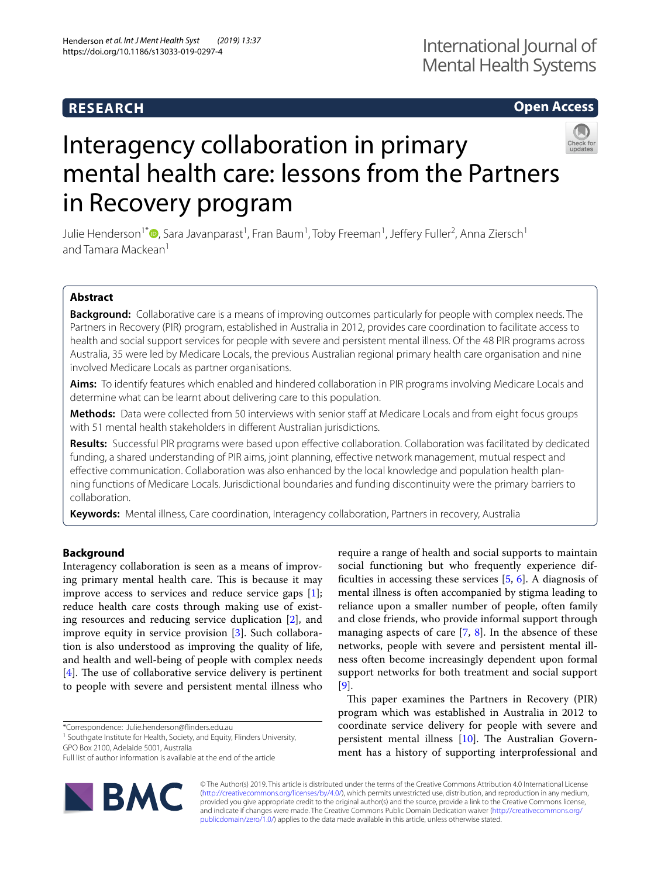# **RESEARCH**

# **Open Access**



# Interagency collaboration in primary mental health care: lessons from the Partners in Recovery program

Julie Henderson<sup>1[\\*](http://orcid.org/0000-0002-8697-5460)</sup>®, Sara Javanparast<sup>1</sup>, Fran Baum<sup>1</sup>, Toby Freeman<sup>1</sup>, Jeffery Fuller<sup>2</sup>, Anna Ziersch<sup>1</sup> and Tamara Mackean<sup>1</sup>

# **Abstract**

**Background:** Collaborative care is a means of improving outcomes particularly for people with complex needs. The Partners in Recovery (PIR) program, established in Australia in 2012, provides care coordination to facilitate access to health and social support services for people with severe and persistent mental illness. Of the 48 PIR programs across Australia, 35 were led by Medicare Locals, the previous Australian regional primary health care organisation and nine involved Medicare Locals as partner organisations.

**Aims:** To identify features which enabled and hindered collaboration in PIR programs involving Medicare Locals and determine what can be learnt about delivering care to this population.

**Methods:** Data were collected from 50 interviews with senior staff at Medicare Locals and from eight focus groups with 51 mental health stakeholders in diferent Australian jurisdictions.

**Results:** Successful PIR programs were based upon efective collaboration. Collaboration was facilitated by dedicated funding, a shared understanding of PIR aims, joint planning, efective network management, mutual respect and efective communication. Collaboration was also enhanced by the local knowledge and population health planning functions of Medicare Locals. Jurisdictional boundaries and funding discontinuity were the primary barriers to collaboration.

**Keywords:** Mental illness, Care coordination, Interagency collaboration, Partners in recovery, Australia

# **Background**

Interagency collaboration is seen as a means of improving primary mental health care. This is because it may improve access to services and reduce service gaps [\[1](#page-8-0)]; reduce health care costs through making use of existing resources and reducing service duplication [\[2](#page-8-1)], and improve equity in service provision [[3\]](#page-8-2). Such collaboration is also understood as improving the quality of life, and health and well-being of people with complex needs  $[4]$  $[4]$ . The use of collaborative service delivery is pertinent to people with severe and persistent mental illness who

\*Correspondence: Julie.henderson@finders.edu.au

<sup>1</sup> Southgate Institute for Health, Society, and Equity, Flinders University, GPO Box 2100, Adelaide 5001, Australia

Full list of author information is available at the end of the article



require a range of health and social supports to maintain social functioning but who frequently experience difficulties in accessing these services  $[5, 6]$  $[5, 6]$  $[5, 6]$ . A diagnosis of mental illness is often accompanied by stigma leading to reliance upon a smaller number of people, often family and close friends, who provide informal support through managing aspects of care  $[7, 8]$  $[7, 8]$  $[7, 8]$ . In the absence of these networks, people with severe and persistent mental illness often become increasingly dependent upon formal support networks for both treatment and social support [[9\]](#page-8-8).

This paper examines the Partners in Recovery (PIR) program which was established in Australia in 2012 to coordinate service delivery for people with severe and persistent mental illness  $[10]$  $[10]$ . The Australian Government has a history of supporting interprofessional and

© The Author(s) 2019. This article is distributed under the terms of the Creative Commons Attribution 4.0 International License [\(http://creativecommons.org/licenses/by/4.0/\)](http://creativecommons.org/licenses/by/4.0/), which permits unrestricted use, distribution, and reproduction in any medium, provided you give appropriate credit to the original author(s) and the source, provide a link to the Creative Commons license, and indicate if changes were made. The Creative Commons Public Domain Dedication waiver ([http://creativecommons.org/](http://creativecommons.org/publicdomain/zero/1.0/) [publicdomain/zero/1.0/](http://creativecommons.org/publicdomain/zero/1.0/)) applies to the data made available in this article, unless otherwise stated.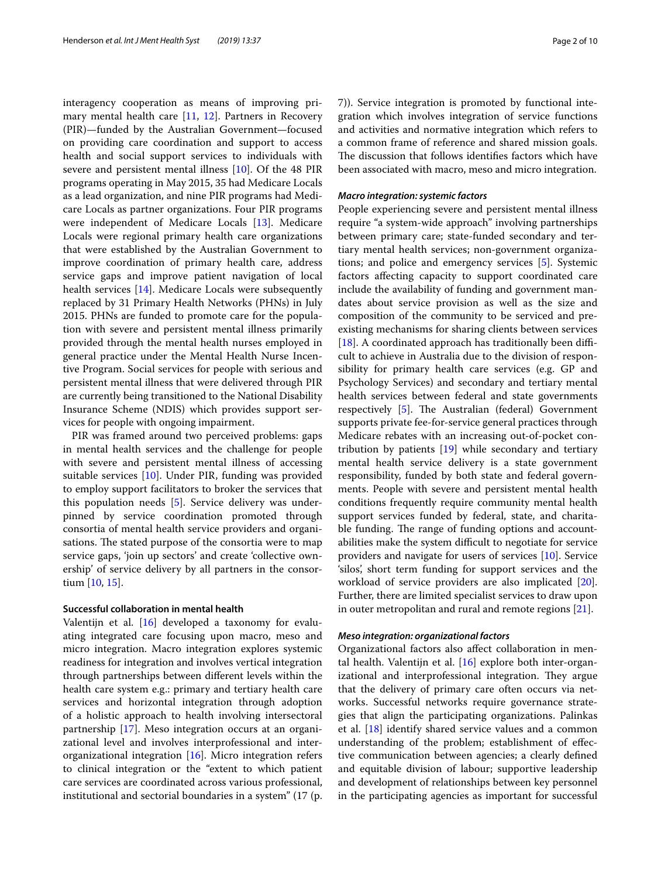interagency cooperation as means of improving primary mental health care  $[11, 12]$  $[11, 12]$  $[11, 12]$  $[11, 12]$  $[11, 12]$ . Partners in Recovery (PIR)—funded by the Australian Government—focused on providing care coordination and support to access health and social support services to individuals with severe and persistent mental illness [\[10](#page-8-9)]. Of the 48 PIR programs operating in May 2015, 35 had Medicare Locals as a lead organization, and nine PIR programs had Medicare Locals as partner organizations. Four PIR programs were independent of Medicare Locals [\[13\]](#page-8-12). Medicare Locals were regional primary health care organizations that were established by the Australian Government to improve coordination of primary health care, address service gaps and improve patient navigation of local health services [\[14](#page-8-13)]. Medicare Locals were subsequently replaced by 31 Primary Health Networks (PHNs) in July 2015. PHNs are funded to promote care for the population with severe and persistent mental illness primarily provided through the mental health nurses employed in general practice under the Mental Health Nurse Incentive Program. Social services for people with serious and persistent mental illness that were delivered through PIR are currently being transitioned to the National Disability Insurance Scheme (NDIS) which provides support services for people with ongoing impairment.

PIR was framed around two perceived problems: gaps in mental health services and the challenge for people with severe and persistent mental illness of accessing suitable services [[10\]](#page-8-9). Under PIR, funding was provided to employ support facilitators to broker the services that this population needs [[5\]](#page-8-4). Service delivery was underpinned by service coordination promoted through consortia of mental health service providers and organisations. The stated purpose of the consortia were to map service gaps, 'join up sectors' and create 'collective ownership' of service delivery by all partners in the consortium [[10](#page-8-9), [15\]](#page-8-14).

#### **Successful collaboration in mental health**

Valentijn et al. [[16](#page-8-15)] developed a taxonomy for evaluating integrated care focusing upon macro, meso and micro integration. Macro integration explores systemic readiness for integration and involves vertical integration through partnerships between diferent levels within the health care system e.g.: primary and tertiary health care services and horizontal integration through adoption of a holistic approach to health involving intersectoral partnership [\[17](#page-8-16)]. Meso integration occurs at an organizational level and involves interprofessional and interorganizational integration [[16\]](#page-8-15). Micro integration refers to clinical integration or the "extent to which patient care services are coordinated across various professional, institutional and sectorial boundaries in a system" (17 (p.

7)). Service integration is promoted by functional integration which involves integration of service functions and activities and normative integration which refers to a common frame of reference and shared mission goals. The discussion that follows identifies factors which have been associated with macro, meso and micro integration.

# *Macro integration: systemic factors*

People experiencing severe and persistent mental illness require "a system-wide approach" involving partnerships between primary care; state-funded secondary and tertiary mental health services; non-government organizations; and police and emergency services [[5\]](#page-8-4). Systemic factors afecting capacity to support coordinated care include the availability of funding and government mandates about service provision as well as the size and composition of the community to be serviced and preexisting mechanisms for sharing clients between services [ $18$ ]. A coordinated approach has traditionally been difficult to achieve in Australia due to the division of responsibility for primary health care services (e.g. GP and Psychology Services) and secondary and tertiary mental health services between federal and state governments respectively  $[5]$  $[5]$ . The Australian (federal) Government supports private fee-for-service general practices through Medicare rebates with an increasing out-of-pocket contribution by patients [\[19](#page-9-0)] while secondary and tertiary mental health service delivery is a state government responsibility, funded by both state and federal governments. People with severe and persistent mental health conditions frequently require community mental health support services funded by federal, state, and charitable funding. The range of funding options and accountabilities make the system difficult to negotiate for service providers and navigate for users of services [\[10](#page-8-9)]. Service 'silos', short term funding for support services and the workload of service providers are also implicated [\[20](#page-9-1)]. Further, there are limited specialist services to draw upon in outer metropolitan and rural and remote regions [[21](#page-9-2)].

## *Meso integration: organizational factors*

Organizational factors also afect collaboration in mental health. Valentijn et al. [[16](#page-8-15)] explore both inter-organizational and interprofessional integration. They argue that the delivery of primary care often occurs via networks. Successful networks require governance strategies that align the participating organizations. Palinkas et al. [\[18\]](#page-8-17) identify shared service values and a common understanding of the problem; establishment of efective communication between agencies; a clearly defned and equitable division of labour; supportive leadership and development of relationships between key personnel in the participating agencies as important for successful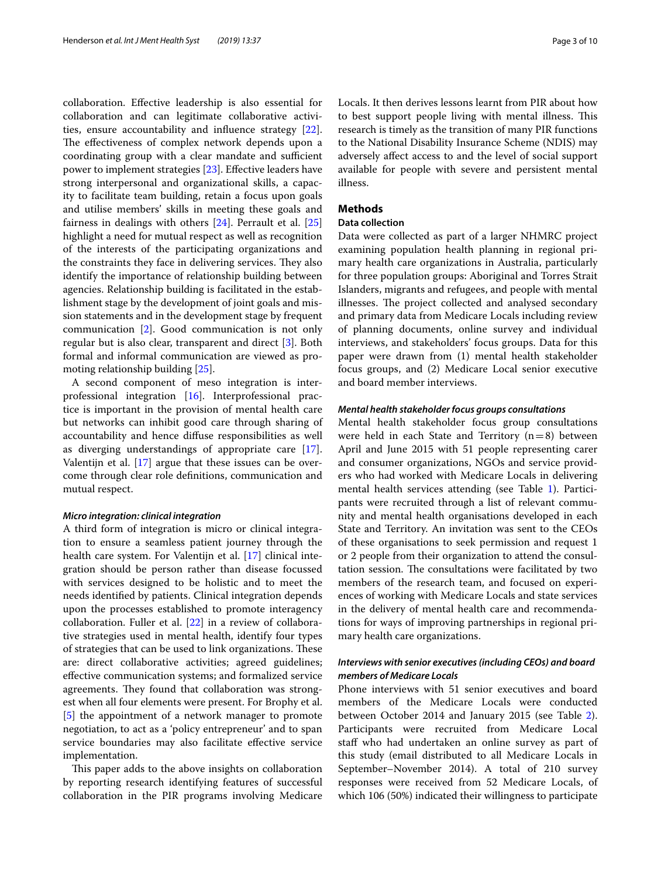collaboration. Efective leadership is also essential for collaboration and can legitimate collaborative activities, ensure accountability and infuence strategy [\[22](#page-9-3)]. The effectiveness of complex network depends upon a coordinating group with a clear mandate and sufficient power to implement strategies [[23\]](#page-9-4). Efective leaders have strong interpersonal and organizational skills, a capacity to facilitate team building, retain a focus upon goals and utilise members' skills in meeting these goals and fairness in dealings with others [[24\]](#page-9-5). Perrault et al. [[25](#page-9-6)] highlight a need for mutual respect as well as recognition of the interests of the participating organizations and the constraints they face in delivering services. They also identify the importance of relationship building between agencies. Relationship building is facilitated in the establishment stage by the development of joint goals and mission statements and in the development stage by frequent communication [[2](#page-8-1)]. Good communication is not only regular but is also clear, transparent and direct [\[3](#page-8-2)]. Both formal and informal communication are viewed as promoting relationship building [[25](#page-9-6)].

A second component of meso integration is interprofessional integration [\[16](#page-8-15)]. Interprofessional practice is important in the provision of mental health care but networks can inhibit good care through sharing of accountability and hence difuse responsibilities as well as diverging understandings of appropriate care [\[17](#page-8-16)]. Valentijn et al. [[17\]](#page-8-16) argue that these issues can be overcome through clear role defnitions, communication and mutual respect.

#### *Micro integration: clinical integration*

A third form of integration is micro or clinical integration to ensure a seamless patient journey through the health care system. For Valentijn et al. [[17\]](#page-8-16) clinical integration should be person rather than disease focussed with services designed to be holistic and to meet the needs identifed by patients. Clinical integration depends upon the processes established to promote interagency collaboration. Fuller et al.  $[22]$  $[22]$  in a review of collaborative strategies used in mental health, identify four types of strategies that can be used to link organizations. These are: direct collaborative activities; agreed guidelines; efective communication systems; and formalized service agreements. They found that collaboration was strongest when all four elements were present. For Brophy et al. [[5\]](#page-8-4) the appointment of a network manager to promote negotiation, to act as a 'policy entrepreneur' and to span service boundaries may also facilitate efective service implementation.

This paper adds to the above insights on collaboration by reporting research identifying features of successful collaboration in the PIR programs involving Medicare Locals. It then derives lessons learnt from PIR about how to best support people living with mental illness. This research is timely as the transition of many PIR functions to the National Disability Insurance Scheme (NDIS) may adversely afect access to and the level of social support available for people with severe and persistent mental illness.

# **Methods**

# **Data collection**

Data were collected as part of a larger NHMRC project examining population health planning in regional primary health care organizations in Australia, particularly for three population groups: Aboriginal and Torres Strait Islanders, migrants and refugees, and people with mental illnesses. The project collected and analysed secondary and primary data from Medicare Locals including review of planning documents, online survey and individual interviews, and stakeholders' focus groups. Data for this paper were drawn from (1) mental health stakeholder focus groups, and (2) Medicare Local senior executive and board member interviews.

#### *Mental health stakeholder focus groups consultations*

Mental health stakeholder focus group consultations were held in each State and Territory  $(n=8)$  between April and June 2015 with 51 people representing carer and consumer organizations, NGOs and service providers who had worked with Medicare Locals in delivering mental health services attending (see Table [1](#page-3-0)). Participants were recruited through a list of relevant community and mental health organisations developed in each State and Territory. An invitation was sent to the CEOs of these organisations to seek permission and request 1 or 2 people from their organization to attend the consultation session. The consultations were facilitated by two members of the research team, and focused on experiences of working with Medicare Locals and state services in the delivery of mental health care and recommendations for ways of improving partnerships in regional primary health care organizations.

# *Interviews with senior executives (including CEOs) and board members of Medicare Locals*

Phone interviews with 51 senior executives and board members of the Medicare Locals were conducted between October 2014 and January 2015 (see Table [2](#page-3-1)). Participants were recruited from Medicare Local staff who had undertaken an online survey as part of this study (email distributed to all Medicare Locals in September–November 2014). A total of 210 survey responses were received from 52 Medicare Locals, of which 106 (50%) indicated their willingness to participate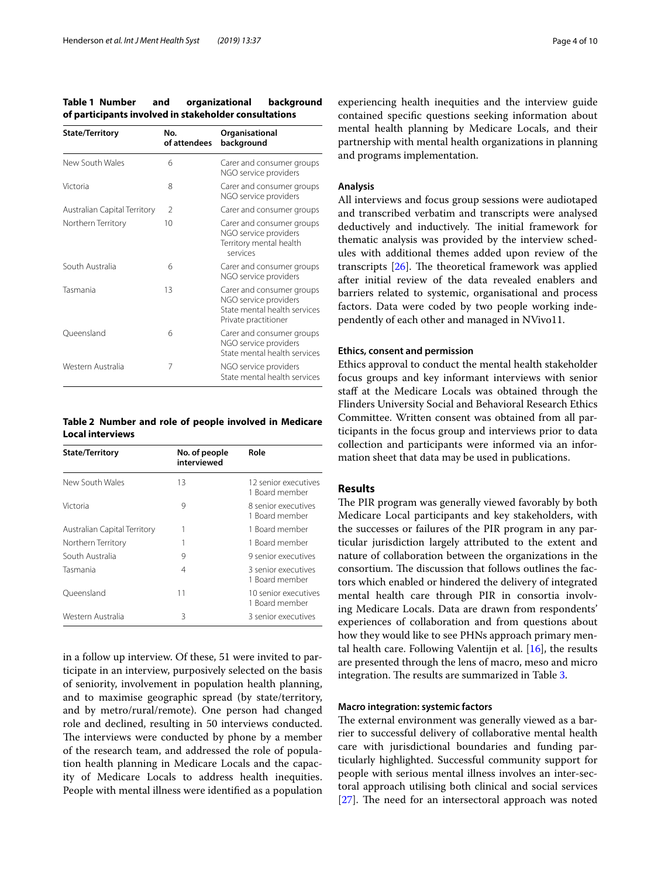<span id="page-3-0"></span>

| Table 1 Number | and | organizational                                        | background |
|----------------|-----|-------------------------------------------------------|------------|
|                |     | of participants involved in stakeholder consultations |            |

| <b>State/Territory</b>       | No.<br>of attendees | Organisational<br>background                                                                               |  |
|------------------------------|---------------------|------------------------------------------------------------------------------------------------------------|--|
| New South Wales              | 6                   | Carer and consumer groups<br>NGO service providers                                                         |  |
| Victoria                     | 8                   | Carer and consumer groups<br>NGO service providers                                                         |  |
| Australian Capital Territory | $\mathcal{L}$       | Carer and consumer groups                                                                                  |  |
| Northern Territory           | 10                  | Carer and consumer groups<br>NGO service providers<br>Territory mental health<br>services                  |  |
| South Australia              | 6                   | Carer and consumer groups<br>NGO service providers                                                         |  |
| Tasmania                     | 13                  | Carer and consumer groups<br>NGO service providers<br>State mental health services<br>Private practitioner |  |
| Oueensland                   | 6                   | Carer and consumer groups<br>NGO service providers<br>State mental health services                         |  |
| Western Australia            | 7                   | NGO service providers<br>State mental health services                                                      |  |

# <span id="page-3-1"></span>**Table 2 Number and role of people involved in Medicare Local interviews**

| <b>State/Territory</b>       | No. of people<br>interviewed | Role                                   |
|------------------------------|------------------------------|----------------------------------------|
| New South Wales              | 13                           | 12 senior executives<br>1 Board member |
| Victoria                     | 9                            | 8 senior executives<br>1 Board member  |
| Australian Capital Territory |                              | 1 Board member                         |
| Northern Territory           |                              | 1 Board member                         |
| South Australia              | 9                            | 9 senior executives                    |
| Tasmania                     | 4                            | 3 senior executives<br>1 Board member  |
| Oueensland                   | 11                           | 10 senior executives<br>1 Board member |
| Western Australia            | 3                            | 3 senior executives                    |

in a follow up interview. Of these, 51 were invited to participate in an interview, purposively selected on the basis of seniority, involvement in population health planning, and to maximise geographic spread (by state/territory, and by metro/rural/remote). One person had changed role and declined, resulting in 50 interviews conducted. The interviews were conducted by phone by a member of the research team, and addressed the role of population health planning in Medicare Locals and the capacity of Medicare Locals to address health inequities. People with mental illness were identifed as a population experiencing health inequities and the interview guide contained specifc questions seeking information about mental health planning by Medicare Locals, and their partnership with mental health organizations in planning and programs implementation.

# **Analysis**

All interviews and focus group sessions were audiotaped and transcribed verbatim and transcripts were analysed deductively and inductively. The initial framework for thematic analysis was provided by the interview schedules with additional themes added upon review of the transcripts  $[26]$  $[26]$ . The theoretical framework was applied after initial review of the data revealed enablers and barriers related to systemic, organisational and process factors. Data were coded by two people working independently of each other and managed in NVivo11.

# **Ethics, consent and permission**

Ethics approval to conduct the mental health stakeholder focus groups and key informant interviews with senior staff at the Medicare Locals was obtained through the Flinders University Social and Behavioral Research Ethics Committee. Written consent was obtained from all participants in the focus group and interviews prior to data collection and participants were informed via an information sheet that data may be used in publications.

# **Results**

The PIR program was generally viewed favorably by both Medicare Local participants and key stakeholders, with the successes or failures of the PIR program in any particular jurisdiction largely attributed to the extent and nature of collaboration between the organizations in the consortium. The discussion that follows outlines the factors which enabled or hindered the delivery of integrated mental health care through PIR in consortia involving Medicare Locals. Data are drawn from respondents' experiences of collaboration and from questions about how they would like to see PHNs approach primary mental health care. Following Valentijn et al. [\[16](#page-8-15)], the results are presented through the lens of macro, meso and micro integration. The results are summarized in Table [3](#page-4-0).

#### **Macro integration: systemic factors**

The external environment was generally viewed as a barrier to successful delivery of collaborative mental health care with jurisdictional boundaries and funding particularly highlighted. Successful community support for people with serious mental illness involves an inter-sectoral approach utilising both clinical and social services  $[27]$  $[27]$ . The need for an intersectoral approach was noted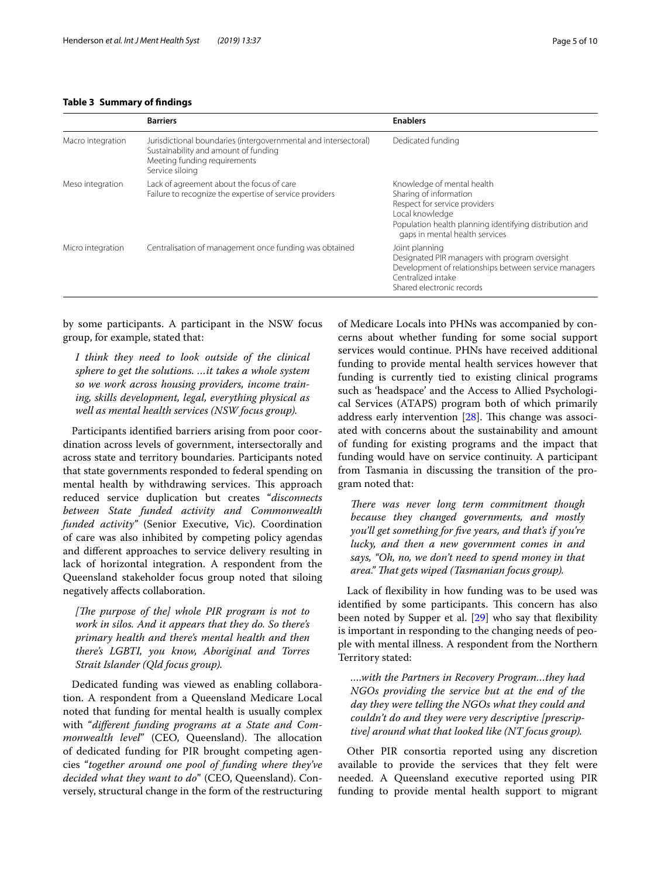# <span id="page-4-0"></span>**Table 3 Summary of fndings**

|                   | <b>Barriers</b>                                                                                                                                            | <b>Enablers</b>                                                                                                                                                                                       |
|-------------------|------------------------------------------------------------------------------------------------------------------------------------------------------------|-------------------------------------------------------------------------------------------------------------------------------------------------------------------------------------------------------|
| Macro integration | Jurisdictional boundaries (intergovernmental and intersectoral)<br>Sustainability and amount of funding<br>Meeting funding requirements<br>Service siloing | Dedicated funding                                                                                                                                                                                     |
| Meso integration  | Lack of agreement about the focus of care<br>Failure to recognize the expertise of service providers                                                       | Knowledge of mental health<br>Sharing of information<br>Respect for service providers<br>Local knowledge<br>Population health planning identifying distribution and<br>gaps in mental health services |
| Micro integration | Centralisation of management once funding was obtained                                                                                                     | Joint planning<br>Designated PIR managers with program oversight<br>Development of relationships between service managers<br>Centralized intake<br>Shared electronic records                          |

by some participants. A participant in the NSW focus group, for example, stated that:

*I think they need to look outside of the clinical sphere to get the solutions. …it takes a whole system so we work across housing providers, income training, skills development, legal, everything physical as well as mental health services (NSW focus group).*

Participants identifed barriers arising from poor coordination across levels of government, intersectorally and across state and territory boundaries. Participants noted that state governments responded to federal spending on mental health by withdrawing services. This approach reduced service duplication but creates "*disconnects between State funded activity and Commonwealth funded activity"* (Senior Executive, Vic). Coordination of care was also inhibited by competing policy agendas and diferent approaches to service delivery resulting in lack of horizontal integration. A respondent from the Queensland stakeholder focus group noted that siloing negatively afects collaboration.

[The purpose of the] whole PIR program is not to *work in silos. And it appears that they do. So there's primary health and there's mental health and then there's LGBTI, you know, Aboriginal and Torres Strait Islander (Qld focus group).*

Dedicated funding was viewed as enabling collaboration. A respondent from a Queensland Medicare Local noted that funding for mental health is usually complex with "*diferent funding programs at a State and Commonwealth level"* (CEO, Queensland). The allocation of dedicated funding for PIR brought competing agencies "*together around one pool of funding where they've decided what they want to do*" (CEO, Queensland). Conversely, structural change in the form of the restructuring of Medicare Locals into PHNs was accompanied by concerns about whether funding for some social support services would continue. PHNs have received additional funding to provide mental health services however that funding is currently tied to existing clinical programs such as 'headspace' and the Access to Allied Psychological Services (ATAPS) program both of which primarily address early intervention  $[28]$  $[28]$ . This change was associated with concerns about the sustainability and amount of funding for existing programs and the impact that funding would have on service continuity. A participant from Tasmania in discussing the transition of the program noted that:

*There was never long term commitment though because they changed governments, and mostly you'll get something for fve years, and that's if you're lucky, and then a new government comes in and says, "Oh, no, we don't need to spend money in that area." Tat gets wiped (Tasmanian focus group).*

Lack of fexibility in how funding was to be used was identified by some participants. This concern has also been noted by Supper et al. [[29](#page-9-10)] who say that fexibility is important in responding to the changing needs of people with mental illness. A respondent from the Northern Territory stated:

*….with the Partners in Recovery Program…they had NGOs providing the service but at the end of the day they were telling the NGOs what they could and couldn't do and they were very descriptive [prescriptive] around what that looked like (NT focus group).*

Other PIR consortia reported using any discretion available to provide the services that they felt were needed. A Queensland executive reported using PIR funding to provide mental health support to migrant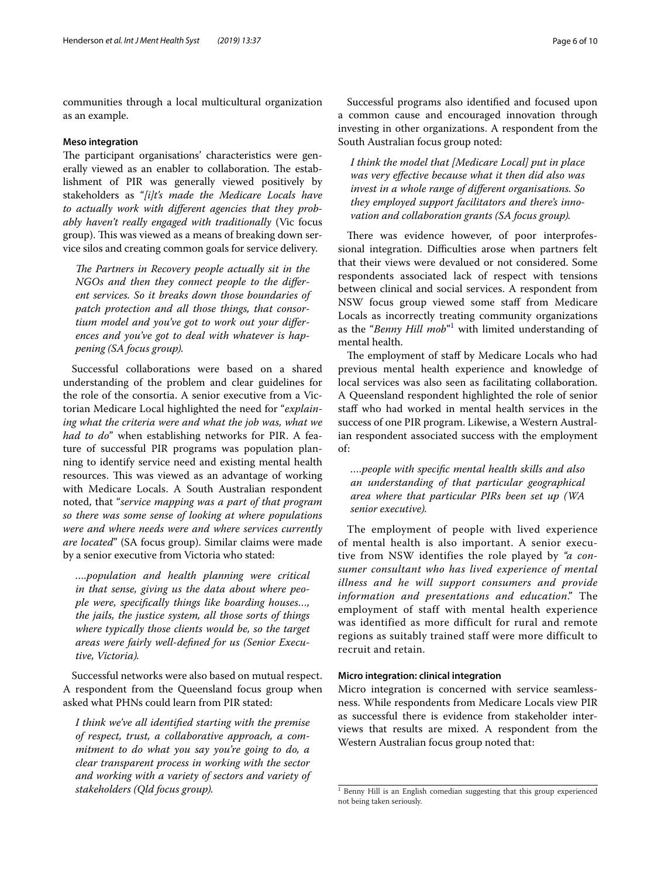communities through a local multicultural organization as an example.

#### **Meso integration**

The participant organisations' characteristics were generally viewed as an enabler to collaboration. The establishment of PIR was generally viewed positively by stakeholders as "*[i]t's made the Medicare Locals have to actually work with diferent agencies that they probably haven't really engaged with traditionally* (Vic focus group). This was viewed as a means of breaking down service silos and creating common goals for service delivery.

The Partners in Recovery people actually sit in the *NGOs and then they connect people to the diferent services. So it breaks down those boundaries of patch protection and all those things, that consortium model and you've got to work out your diferences and you've got to deal with whatever is happening (SA focus group).*

Successful collaborations were based on a shared understanding of the problem and clear guidelines for the role of the consortia. A senior executive from a Victorian Medicare Local highlighted the need for "*explaining what the criteria were and what the job was, what we had to do*" when establishing networks for PIR. A feature of successful PIR programs was population planning to identify service need and existing mental health resources. This was viewed as an advantage of working with Medicare Locals. A South Australian respondent noted, that "*service mapping was a part of that program so there was some sense of looking at where populations were and where needs were and where services currently are located*" (SA focus group). Similar claims were made by a senior executive from Victoria who stated:

*….population and health planning were critical in that sense, giving us the data about where people were, specifcally things like boarding houses…, the jails, the justice system, all those sorts of things where typically those clients would be, so the target areas were fairly well-defned for us (Senior Executive, Victoria).*

Successful networks were also based on mutual respect. A respondent from the Queensland focus group when asked what PHNs could learn from PIR stated:

*I think we've all identifed starting with the premise of respect, trust, a collaborative approach, a commitment to do what you say you're going to do, a clear transparent process in working with the sector and working with a variety of sectors and variety of stakeholders (Qld focus group).*

Successful programs also identifed and focused upon a common cause and encouraged innovation through investing in other organizations. A respondent from the South Australian focus group noted:

*I think the model that [Medicare Local] put in place was very efective because what it then did also was invest in a whole range of diferent organisations. So they employed support facilitators and there's innovation and collaboration grants (SA focus group).*

There was evidence however, of poor interprofessional integration. Difficulties arose when partners felt that their views were devalued or not considered. Some respondents associated lack of respect with tensions between clinical and social services. A respondent from NSW focus group viewed some staf from Medicare Locals as incorrectly treating community organizations as the "*Benny Hill mob*"<sup>[1](#page-5-0)</sup> with limited understanding of mental health.

The employment of staff by Medicare Locals who had previous mental health experience and knowledge of local services was also seen as facilitating collaboration. A Queensland respondent highlighted the role of senior staf who had worked in mental health services in the success of one PIR program. Likewise, a Western Australian respondent associated success with the employment of:

*….people with specifc mental health skills and also an understanding of that particular geographical area where that particular PIRs been set up (WA senior executive).*

The employment of people with lived experience of mental health is also important. A senior executive from NSW identifies the role played by *"a consumer consultant who has lived experience of mental illness and he will support consumers and provide information and presentations and education*." The employment of staff with mental health experience was identified as more difficult for rural and remote regions as suitably trained staff were more difficult to recruit and retain.

# **Micro integration: clinical integration**

Micro integration is concerned with service seamlessness. While respondents from Medicare Locals view PIR as successful there is evidence from stakeholder interviews that results are mixed. A respondent from the Western Australian focus group noted that:

<span id="page-5-0"></span><sup>&</sup>lt;sup>1</sup> Benny Hill is an English comedian suggesting that this group experienced not being taken seriously.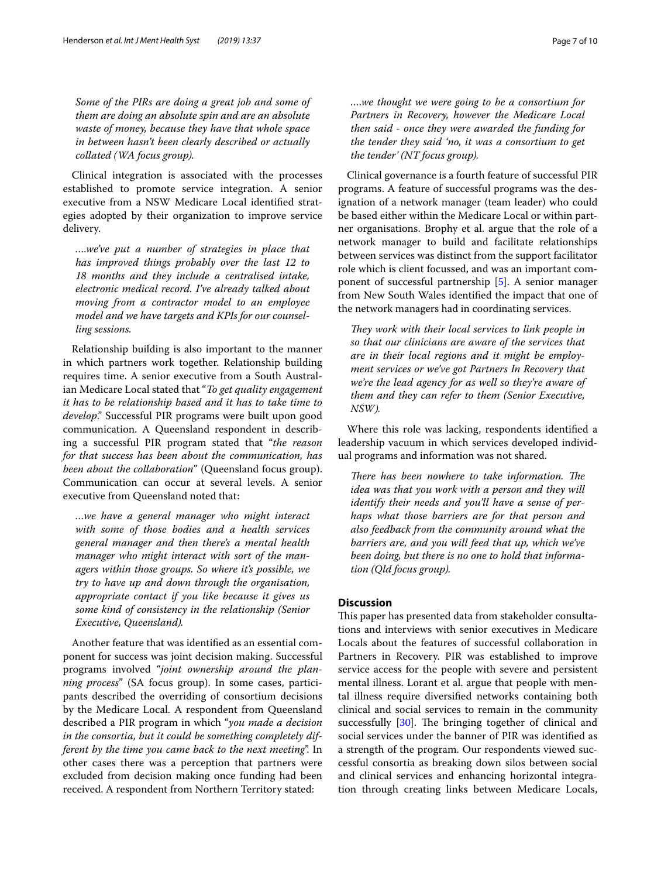*Some of the PIRs are doing a great job and some of them are doing an absolute spin and are an absolute waste of money, because they have that whole space in between hasn't been clearly described or actually collated (WA focus group).*

Clinical integration is associated with the processes established to promote service integration. A senior executive from a NSW Medicare Local identifed strategies adopted by their organization to improve service delivery.

*….we've put a number of strategies in place that has improved things probably over the last 12 to 18 months and they include a centralised intake, electronic medical record. I've already talked about moving from a contractor model to an employee model and we have targets and KPIs for our counselling sessions.*

Relationship building is also important to the manner in which partners work together. Relationship building requires time. A senior executive from a South Australian Medicare Local stated that "*To get quality engagement it has to be relationship based and it has to take time to develop*." Successful PIR programs were built upon good communication. A Queensland respondent in describing a successful PIR program stated that "*the reason for that success has been about the communication, has been about the collaboration*" (Queensland focus group). Communication can occur at several levels. A senior executive from Queensland noted that:

*…we have a general manager who might interact with some of those bodies and a health services general manager and then there's a mental health manager who might interact with sort of the managers within those groups. So where it's possible, we try to have up and down through the organisation, appropriate contact if you like because it gives us some kind of consistency in the relationship (Senior Executive, Queensland).*

Another feature that was identifed as an essential component for success was joint decision making. Successful programs involved "*joint ownership around the planning process*" (SA focus group). In some cases, participants described the overriding of consortium decisions by the Medicare Local. A respondent from Queensland described a PIR program in which "*you made a decision in the consortia, but it could be something completely different by the time you came back to the next meeting*". In other cases there was a perception that partners were excluded from decision making once funding had been received. A respondent from Northern Territory stated:

*….we thought we were going to be a consortium for Partners in Recovery, however the Medicare Local then said - once they were awarded the funding for the tender they said 'no, it was a consortium to get the tender' (NT focus group).*

Clinical governance is a fourth feature of successful PIR programs. A feature of successful programs was the designation of a network manager (team leader) who could be based either within the Medicare Local or within partner organisations. Brophy et al. argue that the role of a network manager to build and facilitate relationships between services was distinct from the support facilitator role which is client focussed, and was an important component of successful partnership [[5\]](#page-8-4). A senior manager from New South Wales identifed the impact that one of the network managers had in coordinating services.

*They work with their local services to link people in so that our clinicians are aware of the services that are in their local regions and it might be employment services or we've got Partners In Recovery that we're the lead agency for as well so they're aware of them and they can refer to them (Senior Executive, NSW).*

Where this role was lacking, respondents identifed a leadership vacuum in which services developed individual programs and information was not shared.

*There has been nowhere to take information. The idea was that you work with a person and they will identify their needs and you'll have a sense of perhaps what those barriers are for that person and also feedback from the community around what the barriers are, and you will feed that up, which we've been doing, but there is no one to hold that information (Qld focus group).*

# **Discussion**

This paper has presented data from stakeholder consultations and interviews with senior executives in Medicare Locals about the features of successful collaboration in Partners in Recovery. PIR was established to improve service access for the people with severe and persistent mental illness. Lorant et al. argue that people with mental illness require diversifed networks containing both clinical and social services to remain in the community successfully  $[30]$  $[30]$ . The bringing together of clinical and social services under the banner of PIR was identifed as a strength of the program. Our respondents viewed successful consortia as breaking down silos between social and clinical services and enhancing horizontal integration through creating links between Medicare Locals,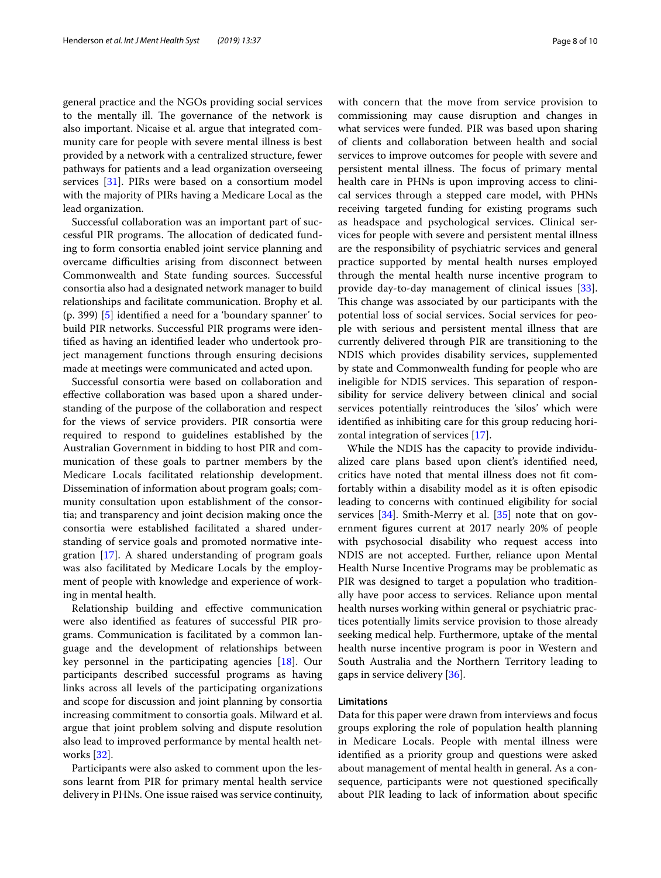general practice and the NGOs providing social services to the mentally ill. The governance of the network is also important. Nicaise et al. argue that integrated community care for people with severe mental illness is best provided by a network with a centralized structure, fewer pathways for patients and a lead organization overseeing services [\[31](#page-9-12)]. PIRs were based on a consortium model with the majority of PIRs having a Medicare Local as the lead organization.

Successful collaboration was an important part of successful PIR programs. The allocation of dedicated funding to form consortia enabled joint service planning and overcame difculties arising from disconnect between Commonwealth and State funding sources. Successful consortia also had a designated network manager to build relationships and facilitate communication. Brophy et al. (p. 399) [\[5](#page-8-4)] identifed a need for a 'boundary spanner' to build PIR networks. Successful PIR programs were identifed as having an identifed leader who undertook project management functions through ensuring decisions made at meetings were communicated and acted upon.

Successful consortia were based on collaboration and efective collaboration was based upon a shared understanding of the purpose of the collaboration and respect for the views of service providers. PIR consortia were required to respond to guidelines established by the Australian Government in bidding to host PIR and communication of these goals to partner members by the Medicare Locals facilitated relationship development. Dissemination of information about program goals; community consultation upon establishment of the consortia; and transparency and joint decision making once the consortia were established facilitated a shared understanding of service goals and promoted normative integration [\[17](#page-8-16)]. A shared understanding of program goals was also facilitated by Medicare Locals by the employment of people with knowledge and experience of working in mental health.

Relationship building and efective communication were also identifed as features of successful PIR programs. Communication is facilitated by a common language and the development of relationships between key personnel in the participating agencies [\[18](#page-8-17)]. Our participants described successful programs as having links across all levels of the participating organizations and scope for discussion and joint planning by consortia increasing commitment to consortia goals. Milward et al. argue that joint problem solving and dispute resolution also lead to improved performance by mental health networks [[32\]](#page-9-13).

Participants were also asked to comment upon the lessons learnt from PIR for primary mental health service delivery in PHNs. One issue raised was service continuity, with concern that the move from service provision to commissioning may cause disruption and changes in what services were funded. PIR was based upon sharing of clients and collaboration between health and social services to improve outcomes for people with severe and persistent mental illness. The focus of primary mental health care in PHNs is upon improving access to clinical services through a stepped care model, with PHNs receiving targeted funding for existing programs such as headspace and psychological services. Clinical services for people with severe and persistent mental illness are the responsibility of psychiatric services and general practice supported by mental health nurses employed through the mental health nurse incentive program to provide day-to-day management of clinical issues [\[33](#page-9-14)]. This change was associated by our participants with the potential loss of social services. Social services for people with serious and persistent mental illness that are currently delivered through PIR are transitioning to the NDIS which provides disability services, supplemented by state and Commonwealth funding for people who are ineligible for NDIS services. This separation of responsibility for service delivery between clinical and social services potentially reintroduces the 'silos' which were identifed as inhibiting care for this group reducing horizontal integration of services [[17\]](#page-8-16).

While the NDIS has the capacity to provide individualized care plans based upon client's identifed need, critics have noted that mental illness does not ft comfortably within a disability model as it is often episodic leading to concerns with continued eligibility for social services  $[34]$  $[34]$ . Smith-Merry et al.  $[35]$  $[35]$  note that on government fgures current at 2017 nearly 20% of people with psychosocial disability who request access into NDIS are not accepted. Further, reliance upon Mental Health Nurse Incentive Programs may be problematic as PIR was designed to target a population who traditionally have poor access to services. Reliance upon mental health nurses working within general or psychiatric practices potentially limits service provision to those already seeking medical help. Furthermore, uptake of the mental health nurse incentive program is poor in Western and South Australia and the Northern Territory leading to gaps in service delivery [\[36](#page-9-17)].

## **Limitations**

Data for this paper were drawn from interviews and focus groups exploring the role of population health planning in Medicare Locals. People with mental illness were identifed as a priority group and questions were asked about management of mental health in general. As a consequence, participants were not questioned specifcally about PIR leading to lack of information about specifc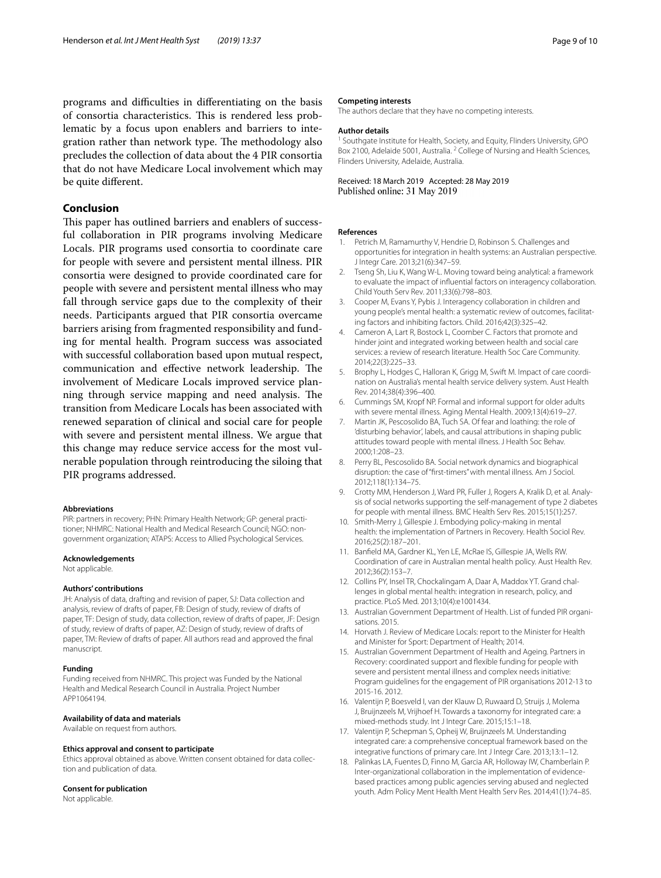programs and difficulties in differentiating on the basis of consortia characteristics. This is rendered less problematic by a focus upon enablers and barriers to integration rather than network type. The methodology also precludes the collection of data about the 4 PIR consortia that do not have Medicare Local involvement which may be quite diferent.

# **Conclusion**

This paper has outlined barriers and enablers of successful collaboration in PIR programs involving Medicare Locals. PIR programs used consortia to coordinate care for people with severe and persistent mental illness. PIR consortia were designed to provide coordinated care for people with severe and persistent mental illness who may fall through service gaps due to the complexity of their needs. Participants argued that PIR consortia overcame barriers arising from fragmented responsibility and funding for mental health. Program success was associated with successful collaboration based upon mutual respect, communication and effective network leadership. The involvement of Medicare Locals improved service planning through service mapping and need analysis. The transition from Medicare Locals has been associated with renewed separation of clinical and social care for people with severe and persistent mental illness. We argue that this change may reduce service access for the most vulnerable population through reintroducing the siloing that PIR programs addressed.

#### **Abbreviations**

PIR: partners in recovery; PHN: Primary Health Network; GP: general practitioner; NHMRC: National Health and Medical Research Council; NGO: nongovernment organization; ATAPS: Access to Allied Psychological Services.

#### **Acknowledgements**

Not applicable.

#### **Authors' contributions**

JH: Analysis of data, drafting and revision of paper, SJ: Data collection and analysis, review of drafts of paper, FB: Design of study, review of drafts of paper, TF: Design of study, data collection, review of drafts of paper, JF: Design of study, review of drafts of paper, AZ: Design of study, review of drafts of paper, TM: Review of drafts of paper. All authors read and approved the fnal manuscript.

#### **Funding**

Funding received from NHMRC. This project was Funded by the National Health and Medical Research Council in Australia. Project Number APP1064194.

#### **Availability of data and materials**

Available on request from authors.

#### **Ethics approval and consent to participate**

Ethics approval obtained as above. Written consent obtained for data collection and publication of data.

#### **Consent for publication**

Not applicable.

#### **Competing interests**

The authors declare that they have no competing interests.

#### **Author details**

<sup>1</sup> Southgate Institute for Health, Society, and Equity, Flinders University, GPO Box 2100, Adelaide 5001, Australia. <sup>2</sup> College of Nursing and Health Sciences, Flinders University, Adelaide, Australia.

#### Received: 18 March 2019 Accepted: 28 May 2019 Published online: 31 May 2019

#### **References**

- <span id="page-8-0"></span>1. Petrich M, Ramamurthy V, Hendrie D, Robinson S. Challenges and opportunities for integration in health systems: an Australian perspective. J Integr Care. 2013;21(6):347–59.
- <span id="page-8-1"></span>2. Tseng Sh, Liu K, Wang W-L. Moving toward being analytical: a framework to evaluate the impact of infuential factors on interagency collaboration. Child Youth Serv Rev. 2011;33(6):798–803.
- <span id="page-8-2"></span>3. Cooper M, Evans Y, Pybis J. Interagency collaboration in children and young people's mental health: a systematic review of outcomes, facilitating factors and inhibiting factors. Child. 2016;42(3):325–42.
- <span id="page-8-3"></span>4. Cameron A, Lart R, Bostock L, Coomber C. Factors that promote and hinder joint and integrated working between health and social care services: a review of research literature. Health Soc Care Community. 2014;22(3):225–33.
- <span id="page-8-4"></span>5. Brophy L, Hodges C, Halloran K, Grigg M, Swift M. Impact of care coordination on Australia's mental health service delivery system. Aust Health Rev. 2014;38(4):396–400.
- <span id="page-8-5"></span>6. Cummings SM, Kropf NP. Formal and informal support for older adults with severe mental illness. Aging Mental Health. 2009;13(4):619–27.
- <span id="page-8-6"></span>7. Martin JK, Pescosolido BA, Tuch SA. Of fear and loathing: the role of 'disturbing behavior', labels, and causal attributions in shaping public attitudes toward people with mental illness. J Health Soc Behav. 2000;1:208–23.
- <span id="page-8-7"></span>8. Perry BL, Pescosolido BA. Social network dynamics and biographical disruption: the case of "frst-timers" with mental illness. Am J Sociol. 2012;118(1):134–75.
- <span id="page-8-8"></span>9. Crotty MM, Henderson J, Ward PR, Fuller J, Rogers A, Kralik D, et al. Analysis of social networks supporting the self-management of type 2 diabetes for people with mental illness. BMC Health Serv Res. 2015;15(1):257.
- <span id="page-8-9"></span>10. Smith-Merry J, Gillespie J. Embodying policy-making in mental health: the implementation of Partners in Recovery. Health Sociol Rev. 2016;25(2):187–201.
- <span id="page-8-10"></span>11. Banfeld MA, Gardner KL, Yen LE, McRae IS, Gillespie JA, Wells RW. Coordination of care in Australian mental health policy. Aust Health Rev. 2012;36(2):153–7.
- <span id="page-8-11"></span>12. Collins PY, Insel TR, Chockalingam A, Daar A, Maddox YT. Grand challenges in global mental health: integration in research, policy, and practice. PLoS Med. 2013;10(4):e1001434.
- <span id="page-8-12"></span>13. Australian Government Department of Health. List of funded PIR organisations. 2015.
- <span id="page-8-13"></span>14. Horvath J. Review of Medicare Locals: report to the Minister for Health and Minister for Sport: Department of Health; 2014.
- <span id="page-8-14"></span>15. Australian Government Department of Health and Ageing. Partners in Recovery: coordinated support and fexible funding for people with severe and persistent mental illness and complex needs initiative: Program guidelines for the engagement of PIR organisations 2012-13 to 2015-16. 2012.
- <span id="page-8-15"></span>16. Valentijn P, Boesveld I, van der Klauw D, Ruwaard D, Struijs J, Molema J, Bruijnzeels M, Vrijhoef H. Towards a taxonomy for integrated care: a mixed-methods study. Int J Integr Care. 2015;15:1–18.
- <span id="page-8-16"></span>17. Valentijn P, Schepman S, Opheij W, Bruijnzeels M. Understanding integrated care: a comprehensive conceptual framework based on the integrative functions of primary care. Int J Integr Care. 2013;13:1–12.
- <span id="page-8-17"></span>18. Palinkas LA, Fuentes D, Finno M, Garcia AR, Holloway IW, Chamberlain P. Inter-organizational collaboration in the implementation of evidencebased practices among public agencies serving abused and neglected youth. Adm Policy Ment Health Ment Health Serv Res. 2014;41(1):74–85.